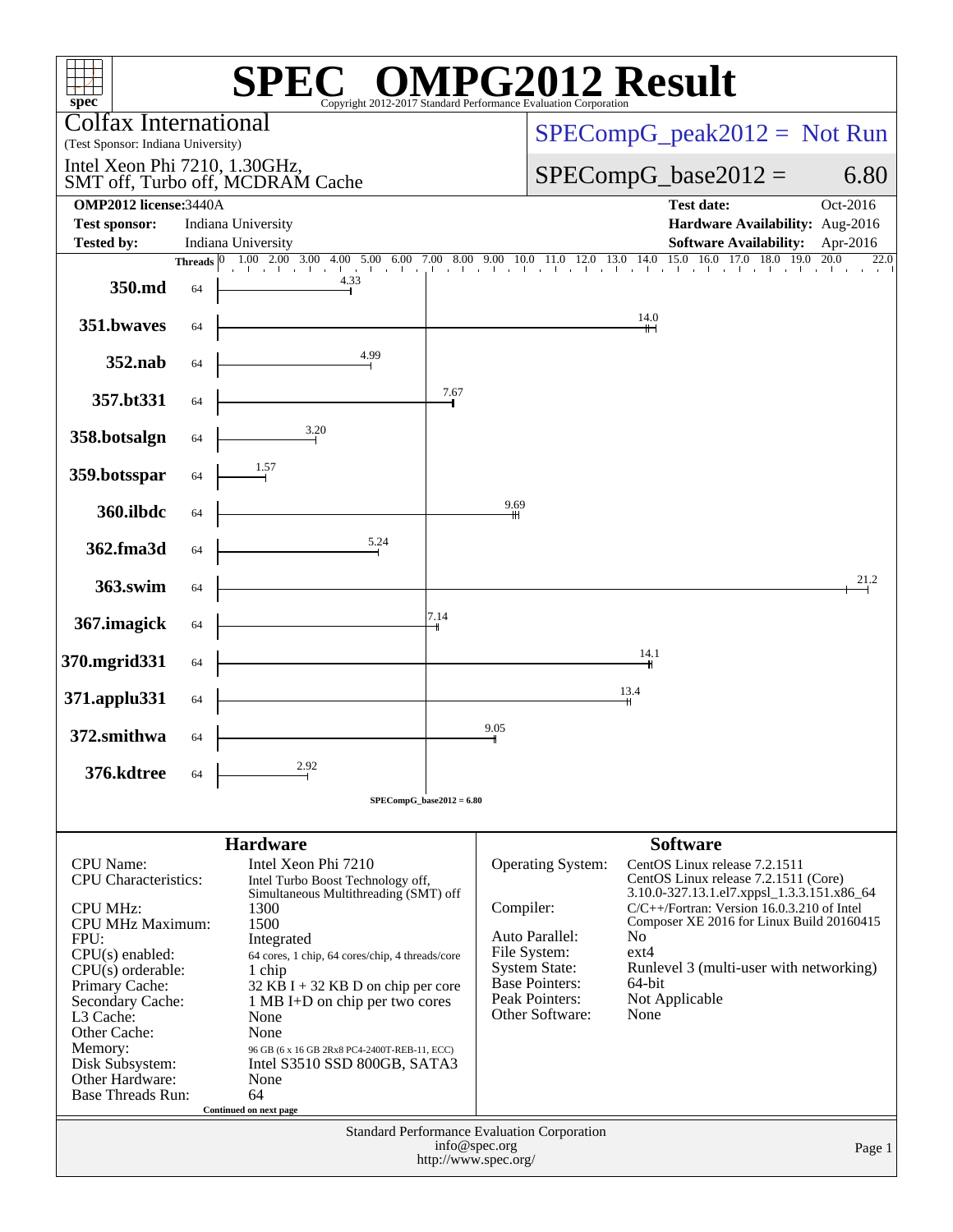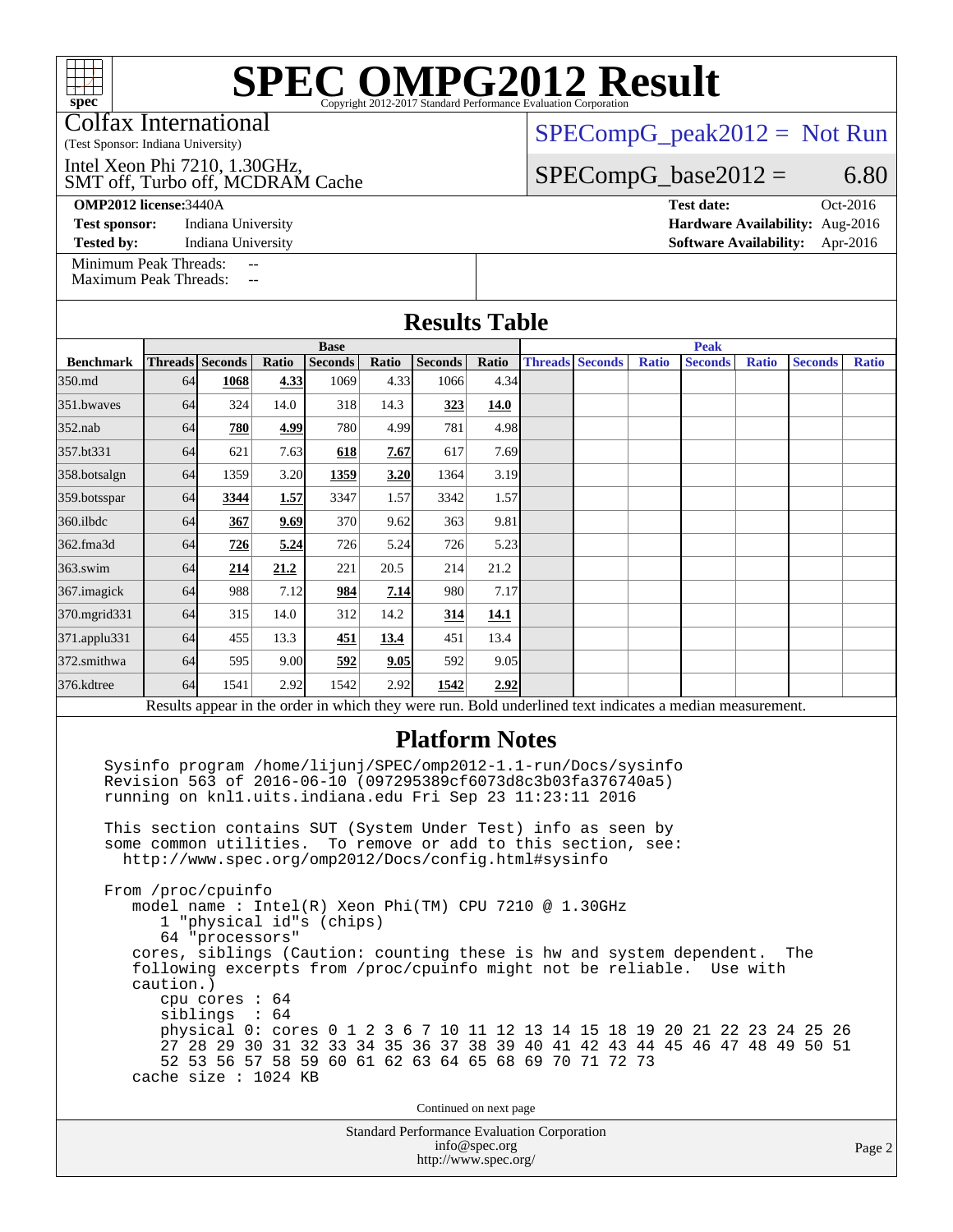Colfax International

(Test Sponsor: Indiana University)

SMT off, Turbo off, MCDRAM Cache Intel Xeon Phi 7210, 1.30GHz,

**[Test sponsor:](http://www.spec.org/auto/omp2012/Docs/result-fields.html#Testsponsor)** Indiana University **[Hardware Availability:](http://www.spec.org/auto/omp2012/Docs/result-fields.html#HardwareAvailability)** Aug-2016

 $SPECompG_peak2012 = Not Run$  $SPECompG_peak2012 = Not Run$ 

 $SPECompG_base2012 = 6.80$  $SPECompG_base2012 = 6.80$ 

**[OMP2012 license:](http://www.spec.org/auto/omp2012/Docs/result-fields.html#OMP2012license)**3440A **[Test date:](http://www.spec.org/auto/omp2012/Docs/result-fields.html#Testdate)** Oct-2016

**[Tested by:](http://www.spec.org/auto/omp2012/Docs/result-fields.html#Testedby)** Indiana University **[Software Availability:](http://www.spec.org/auto/omp2012/Docs/result-fields.html#SoftwareAvailability)** Apr-2016

[Minimum Peak Threads:](http://www.spec.org/auto/omp2012/Docs/result-fields.html#MinimumPeakThreads)

[Maximum Peak Threads:](http://www.spec.org/auto/omp2012/Docs/result-fields.html#MaximumPeakThreads)

|                  | <b>Base</b> |                 |       |                |       |                |             | <b>Peak</b> |                        |              |                                                                                                          |              |                |              |
|------------------|-------------|-----------------|-------|----------------|-------|----------------|-------------|-------------|------------------------|--------------|----------------------------------------------------------------------------------------------------------|--------------|----------------|--------------|
| <b>Benchmark</b> |             | Threads Seconds | Ratio | <b>Seconds</b> | Ratio | <b>Seconds</b> | Ratio       |             | <b>Threads Seconds</b> | <b>Ratio</b> | <b>Seconds</b>                                                                                           | <b>Ratio</b> | <b>Seconds</b> | <b>Ratio</b> |
| 350.md           | 64          | 1068            | 4.33  | 1069           | 4.33  | 1066           | 4.34        |             |                        |              |                                                                                                          |              |                |              |
| 351.bwayes       | 64          | 324             | 14.0  | 318            | 14.3  | 323            | 14.0        |             |                        |              |                                                                                                          |              |                |              |
| $352$ .nab       | 64          | 780             | 4.99  | 780            | 4.99  | 781            | 4.98        |             |                        |              |                                                                                                          |              |                |              |
| 357.bt331        | 64          | 621             | 7.63  | 618            | 7.67  | 617            | 7.69        |             |                        |              |                                                                                                          |              |                |              |
| 358.botsalgn     | 64          | 1359            | 3.20  | 1359           | 3.20  | 1364           | 3.19        |             |                        |              |                                                                                                          |              |                |              |
| 359.botsspar     | 64          | 3344            | 1.57  | 3347           | 1.57  | 3342           | 1.57        |             |                        |              |                                                                                                          |              |                |              |
| $360$ .ilbdc     | 64          | 367             | 9.69  | 370            | 9.62  | 363            | 9.81        |             |                        |              |                                                                                                          |              |                |              |
| 362.fma3d        | 64          | 726             | 5.24  | 726            | 5.24  | 726            | 5.23        |             |                        |              |                                                                                                          |              |                |              |
| $363$ .swim      | 64          | 214             | 21.2  | 221            | 20.5  | 214            | 21.2        |             |                        |              |                                                                                                          |              |                |              |
| 367.imagick      | 64          | 988             | 7.12  | 984            | 7.14  | 980            | 7.17        |             |                        |              |                                                                                                          |              |                |              |
| 370.mgrid331     | 64          | 315             | 14.0  | 312            | 14.2  | 314            | <u>14.1</u> |             |                        |              |                                                                                                          |              |                |              |
| 371.applu331     | 64          | 455             | 13.3  | 451            | 13.4  | 451            | 13.4        |             |                        |              |                                                                                                          |              |                |              |
| 372.smithwa      | 64          | 595             | 9.00  | 592            | 9.05  | 592            | 9.05        |             |                        |              |                                                                                                          |              |                |              |
| 376.kdtree       | 64          | 1541            | 2.92  | 1542           | 2.92  | 1542           | 2.92        |             |                        |              |                                                                                                          |              |                |              |
|                  |             |                 |       |                |       |                |             |             |                        |              | Results appear in the order in which they were run. Bold underlined text indicates a median measurement. |              |                |              |

 Sysinfo program /home/lijunj/SPEC/omp2012-1.1-run/Docs/sysinfo Revision 563 of 2016-06-10 (097295389cf6073d8c3b03fa376740a5) running on knl1.uits.indiana.edu Fri Sep 23 11:23:11 2016

 This section contains SUT (System Under Test) info as seen by some common utilities. To remove or add to this section, see: <http://www.spec.org/omp2012/Docs/config.html#sysinfo>

 From /proc/cpuinfo model name : Intel(R) Xeon Phi(TM) CPU 7210 @ 1.30GHz 1 "physical id"s (chips) 64 "processors" cores, siblings (Caution: counting these is hw and system dependent. The following excerpts from /proc/cpuinfo might not be reliable. Use with caution.) cpu cores : 64 siblings : 64 physical 0: cores 0 1 2 3 6 7 10 11 12 13 14 15 18 19 20 21 22 23 24 25 26 27 28 29 30 31 32 33 34 35 36 37 38 39 40 41 42 43 44 45 46 47 48 49 50 51 52 53 56 57 58 59 60 61 62 63 64 65 68 69 70 71 72 73 cache size : 1024 KB

Continued on next page

Standard Performance Evaluation Corporation [info@spec.org](mailto:info@spec.org) <http://www.spec.org/>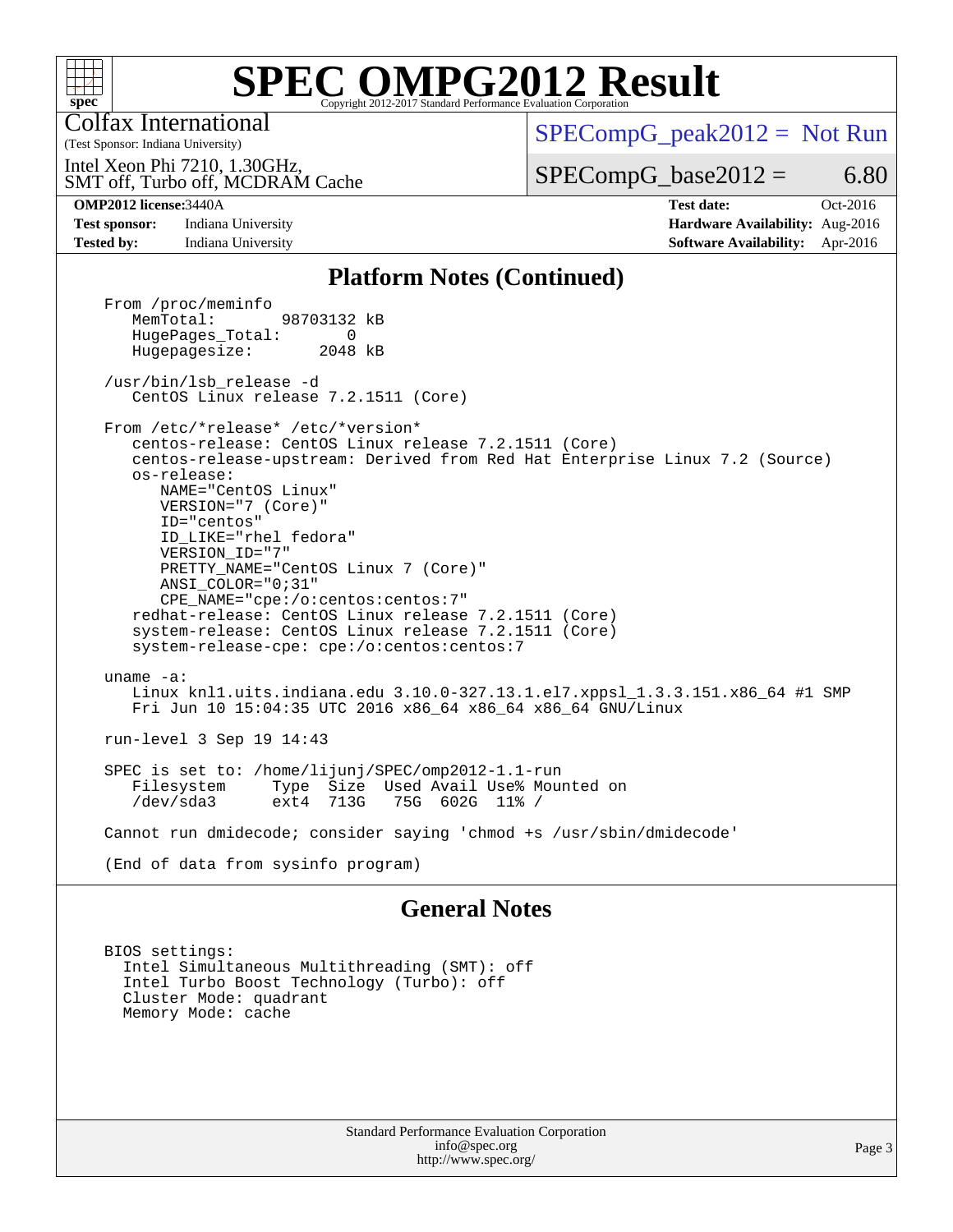

Colfax International

 $SPECompG_peak2012 = Not Run$  $SPECompG_peak2012 = Not Run$ 

SMT off, Turbo off, MCDRAM Cache Intel Xeon Phi 7210, 1.30GHz,

 $SPECompG_base2012 = 6.80$  $SPECompG_base2012 = 6.80$ 

(Test Sponsor: Indiana University)

**[Tested by:](http://www.spec.org/auto/omp2012/Docs/result-fields.html#Testedby)** Indiana University **[Software Availability:](http://www.spec.org/auto/omp2012/Docs/result-fields.html#SoftwareAvailability)** Apr-2016

**[OMP2012 license:](http://www.spec.org/auto/omp2012/Docs/result-fields.html#OMP2012license)**3440A **[Test date:](http://www.spec.org/auto/omp2012/Docs/result-fields.html#Testdate)** Oct-2016 **[Test sponsor:](http://www.spec.org/auto/omp2012/Docs/result-fields.html#Testsponsor)** Indiana University **[Hardware Availability:](http://www.spec.org/auto/omp2012/Docs/result-fields.html#HardwareAvailability)** Aug-2016

#### **[Platform Notes \(Continued\)](http://www.spec.org/auto/omp2012/Docs/result-fields.html#PlatformNotes)**

From /proc/meminfo<br>MemTotal: 98703132 kB HugePages\_Total: 0<br>Hugepagesize: 2048 kB Hugepagesize: /usr/bin/lsb\_release -d CentOS Linux release 7.2.1511 (Core) From /etc/\*release\* /etc/\*version\* centos-release: CentOS Linux release 7.2.1511 (Core) centos-release-upstream: Derived from Red Hat Enterprise Linux 7.2 (Source) os-release: NAME="CentOS Linux" VERSION="7 (Core)" ID="centos" ID\_LIKE="rhel fedora" VERSION\_ID="7" PRETTY\_NAME="CentOS Linux 7 (Core)" ANSI\_COLOR="0;31" CPE\_NAME="cpe:/o:centos:centos:7" redhat-release: CentOS Linux release 7.2.1511 (Core) system-release: CentOS Linux release 7.2.1511 (Core) system-release-cpe: cpe:/o:centos:centos:7 uname -a: Linux knl1.uits.indiana.edu 3.10.0-327.13.1.el7.xppsl\_1.3.3.151.x86\_64 #1 SMP Fri Jun 10 15:04:35 UTC 2016 x86\_64 x86\_64 x86\_64 GNU/Linux run-level 3 Sep 19 14:43 SPEC is set to: /home/lijunj/SPEC/omp2012-1.1-run Filesystem Type Size Used Avail Use% Mounted on<br>
/dev/sda3 ext4 713G 75G 602G 11% / /dev/sda3 ext4 713G 75G 602G 11% / Cannot run dmidecode; consider saying 'chmod +s /usr/sbin/dmidecode' (End of data from sysinfo program)

#### **[General Notes](http://www.spec.org/auto/omp2012/Docs/result-fields.html#GeneralNotes)**

 BIOS settings: Intel Simultaneous Multithreading (SMT): off Intel Turbo Boost Technology (Turbo): off Cluster Mode: quadrant Memory Mode: cache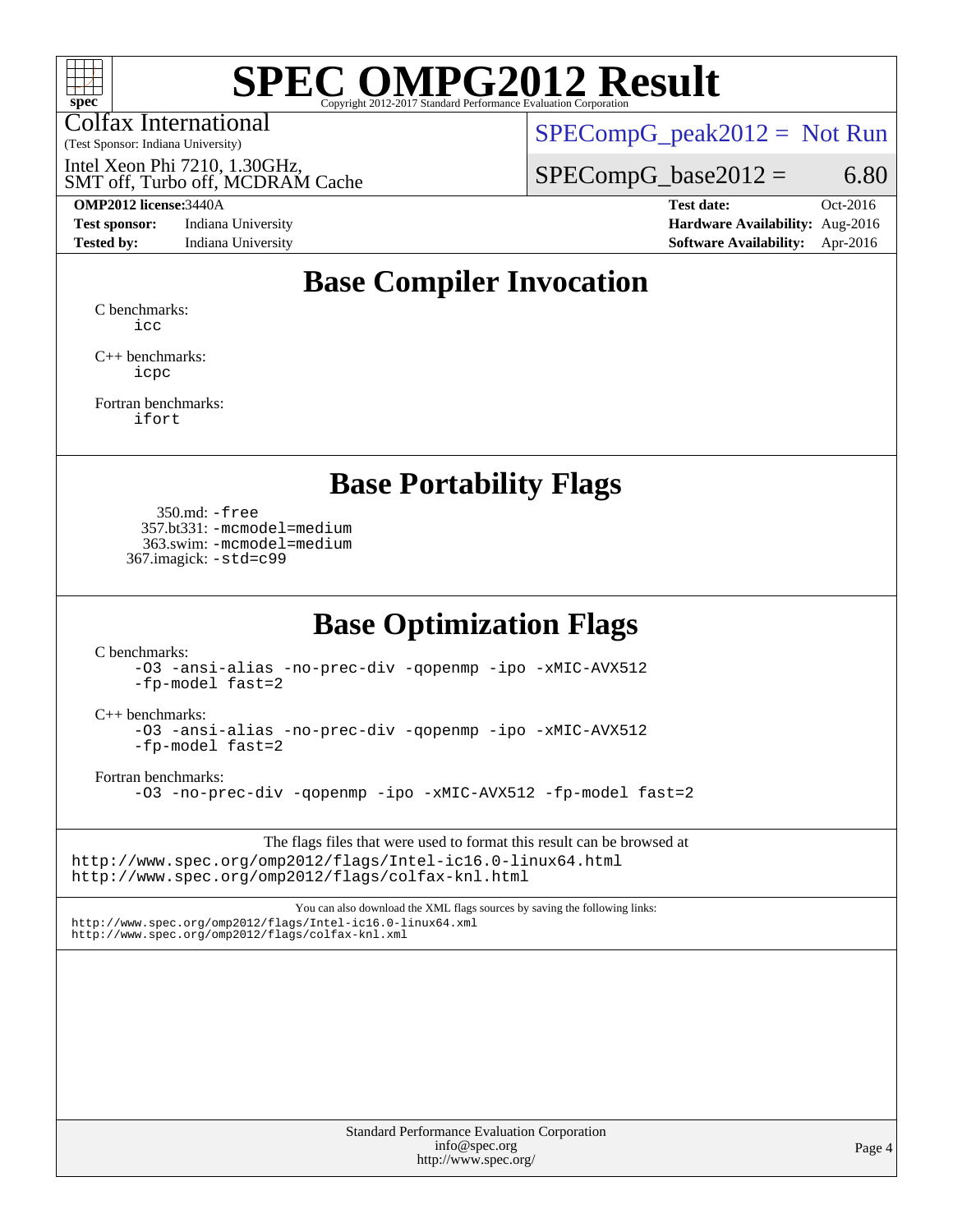

Colfax International

 $SPECompG_peak2012 = Not Run$  $SPECompG_peak2012 = Not Run$ 

SMT off, Turbo off, MCDRAM Cache Intel Xeon Phi 7210, 1.30GHz,

 $SPECompG_base2012 = 6.80$  $SPECompG_base2012 = 6.80$ 

(Test Sponsor: Indiana University)

**[Test sponsor:](http://www.spec.org/auto/omp2012/Docs/result-fields.html#Testsponsor)** Indiana University **[Hardware Availability:](http://www.spec.org/auto/omp2012/Docs/result-fields.html#HardwareAvailability)** Aug-2016

**[OMP2012 license:](http://www.spec.org/auto/omp2012/Docs/result-fields.html#OMP2012license)**3440A **[Test date:](http://www.spec.org/auto/omp2012/Docs/result-fields.html#Testdate)** Oct-2016 **[Tested by:](http://www.spec.org/auto/omp2012/Docs/result-fields.html#Testedby)** Indiana University **[Software Availability:](http://www.spec.org/auto/omp2012/Docs/result-fields.html#SoftwareAvailability)** Apr-2016

## **[Base Compiler Invocation](http://www.spec.org/auto/omp2012/Docs/result-fields.html#BaseCompilerInvocation)**

[C benchmarks](http://www.spec.org/auto/omp2012/Docs/result-fields.html#Cbenchmarks): [icc](http://www.spec.org/omp2012/results/res2017q1/omp2012-20161215-00087.flags.html#user_CCbase_intel_icc_a87c68a857bc5ec5362391a49d3a37a6)

[C++ benchmarks:](http://www.spec.org/auto/omp2012/Docs/result-fields.html#CXXbenchmarks) [icpc](http://www.spec.org/omp2012/results/res2017q1/omp2012-20161215-00087.flags.html#user_CXXbase_intel_icpc_2d899f8d163502b12eb4a60069f80c1c)

[Fortran benchmarks](http://www.spec.org/auto/omp2012/Docs/result-fields.html#Fortranbenchmarks): [ifort](http://www.spec.org/omp2012/results/res2017q1/omp2012-20161215-00087.flags.html#user_FCbase_intel_ifort_8a5e5e06b19a251bdeaf8fdab5d62f20)

### **[Base Portability Flags](http://www.spec.org/auto/omp2012/Docs/result-fields.html#BasePortabilityFlags)**

 350.md: [-free](http://www.spec.org/omp2012/results/res2017q1/omp2012-20161215-00087.flags.html#user_baseFPORTABILITY350_md_f-FR_e51be0673775d2012b3310fa5323f530) 357.bt331: [-mcmodel=medium](http://www.spec.org/omp2012/results/res2017q1/omp2012-20161215-00087.flags.html#user_baseFPORTABILITY357_bt331_f-mcmodel_3a41622424bdd074c4f0f2d2f224c7e5) 363.swim: [-mcmodel=medium](http://www.spec.org/omp2012/results/res2017q1/omp2012-20161215-00087.flags.html#user_baseFPORTABILITY363_swim_f-mcmodel_3a41622424bdd074c4f0f2d2f224c7e5) 367.imagick: [-std=c99](http://www.spec.org/omp2012/results/res2017q1/omp2012-20161215-00087.flags.html#user_baseCPORTABILITY367_imagick_f-std_2ec6533b6e06f1c4a6c9b78d9e9cde24)

### **[Base Optimization Flags](http://www.spec.org/auto/omp2012/Docs/result-fields.html#BaseOptimizationFlags)**

[C benchmarks](http://www.spec.org/auto/omp2012/Docs/result-fields.html#Cbenchmarks):

[-O3](http://www.spec.org/omp2012/results/res2017q1/omp2012-20161215-00087.flags.html#user_CCbase_f-O3) [-ansi-alias](http://www.spec.org/omp2012/results/res2017q1/omp2012-20161215-00087.flags.html#user_CCbase_f-ansi-alias) [-no-prec-div](http://www.spec.org/omp2012/results/res2017q1/omp2012-20161215-00087.flags.html#user_CCbase_f-no-prec-div) [-qopenmp](http://www.spec.org/omp2012/results/res2017q1/omp2012-20161215-00087.flags.html#user_CCbase_f-qopenmp) [-ipo](http://www.spec.org/omp2012/results/res2017q1/omp2012-20161215-00087.flags.html#user_CCbase_f-ipo) [-xMIC-AVX512](http://www.spec.org/omp2012/results/res2017q1/omp2012-20161215-00087.flags.html#user_CCbase_f-xMIC-AVX512) [-fp-model fast=2](http://www.spec.org/omp2012/results/res2017q1/omp2012-20161215-00087.flags.html#user_CCbase_f-fp-model_a7fb8ccb7275e23f0079632c153cfcab)

[C++ benchmarks:](http://www.spec.org/auto/omp2012/Docs/result-fields.html#CXXbenchmarks)

[-O3](http://www.spec.org/omp2012/results/res2017q1/omp2012-20161215-00087.flags.html#user_CXXbase_f-O3) [-ansi-alias](http://www.spec.org/omp2012/results/res2017q1/omp2012-20161215-00087.flags.html#user_CXXbase_f-ansi-alias) [-no-prec-div](http://www.spec.org/omp2012/results/res2017q1/omp2012-20161215-00087.flags.html#user_CXXbase_f-no-prec-div) [-qopenmp](http://www.spec.org/omp2012/results/res2017q1/omp2012-20161215-00087.flags.html#user_CXXbase_f-qopenmp) [-ipo](http://www.spec.org/omp2012/results/res2017q1/omp2012-20161215-00087.flags.html#user_CXXbase_f-ipo) [-xMIC-AVX512](http://www.spec.org/omp2012/results/res2017q1/omp2012-20161215-00087.flags.html#user_CXXbase_f-xMIC-AVX512) [-fp-model fast=2](http://www.spec.org/omp2012/results/res2017q1/omp2012-20161215-00087.flags.html#user_CXXbase_f-fp-model_a7fb8ccb7275e23f0079632c153cfcab)

[Fortran benchmarks](http://www.spec.org/auto/omp2012/Docs/result-fields.html#Fortranbenchmarks):

[-O3](http://www.spec.org/omp2012/results/res2017q1/omp2012-20161215-00087.flags.html#user_FCbase_f-O3) [-no-prec-div](http://www.spec.org/omp2012/results/res2017q1/omp2012-20161215-00087.flags.html#user_FCbase_f-no-prec-div) [-qopenmp](http://www.spec.org/omp2012/results/res2017q1/omp2012-20161215-00087.flags.html#user_FCbase_f-qopenmp) [-ipo](http://www.spec.org/omp2012/results/res2017q1/omp2012-20161215-00087.flags.html#user_FCbase_f-ipo) [-xMIC-AVX512](http://www.spec.org/omp2012/results/res2017q1/omp2012-20161215-00087.flags.html#user_FCbase_f-xMIC-AVX512) [-fp-model fast=2](http://www.spec.org/omp2012/results/res2017q1/omp2012-20161215-00087.flags.html#user_FCbase_f-fp-model_a7fb8ccb7275e23f0079632c153cfcab)

The flags files that were used to format this result can be browsed at <http://www.spec.org/omp2012/flags/Intel-ic16.0-linux64.html> <http://www.spec.org/omp2012/flags/colfax-knl.html>

You can also download the XML flags sources by saving the following links: <http://www.spec.org/omp2012/flags/Intel-ic16.0-linux64.xml> <http://www.spec.org/omp2012/flags/colfax-knl.xml>

> Standard Performance Evaluation Corporation [info@spec.org](mailto:info@spec.org) <http://www.spec.org/>